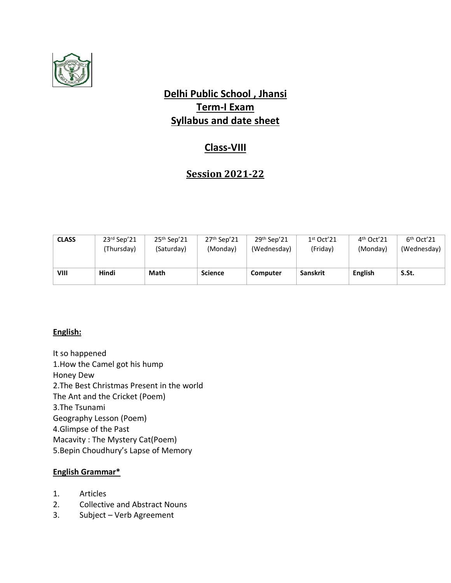

# **Delhi Public School , Jhansi Term-I Exam Syllabus and date sheet**

## **Class-VIII**

## **Session 2021-22**

| <b>CLASS</b> | $23rd$ Sep'21 | $25th$ Sep'21 | $27th$ Sep'21  | $29th$ Sep'21 | 1 <sup>st</sup> Oct'21 | $4th$ Oct'21   | $6th$ Oct'21 |
|--------------|---------------|---------------|----------------|---------------|------------------------|----------------|--------------|
|              | (Thursday)    | (Saturday)    | (Monday)       | (Wednesday)   | (Friday)               | (Monday)       | (Wednesday)  |
|              |               |               |                |               |                        |                |              |
| VIII         | Hindi         | Math          | <b>Science</b> | Computer      | <b>Sanskrit</b>        | <b>English</b> | S.St.        |
|              |               |               |                |               |                        |                |              |

### **English:**

It so happened 1.How the Camel got his hump Honey Dew 2.The Best Christmas Present in the world The Ant and the Cricket (Poem) 3.The Tsunami Geography Lesson (Poem) 4.Glimpse of the Past Macavity : The Mystery Cat(Poem) 5.Bepin Choudhury's Lapse of Memory

### **English Grammar\***

- 1. Articles
- 2. Collective and Abstract Nouns
- 3. Subject Verb Agreement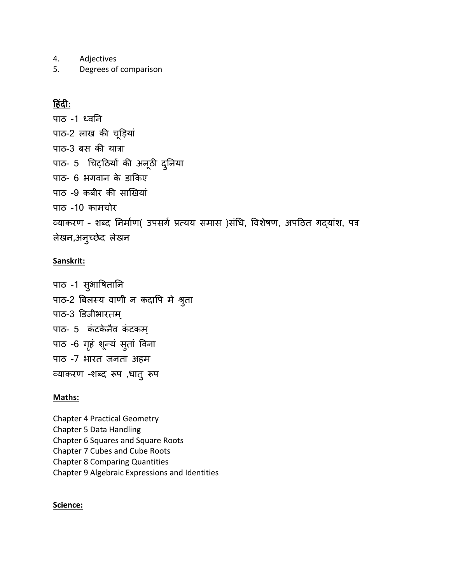- 4. Adjectives
- 5. Degrees of comparison

### **ह िंदी:**

पाठ -1 ध्वनि पाठ-2 लाख की चूड़ियां पाठ-3 बस की यात्रा पाठ- 5 चिट्ठियों की अनूठी दुनिया पाठ- 6 भगवान के डाकिए पाठ -9 कबीर की साखियां पाठ -10 कामचोर व्याकरण – शब्द निमााण( उपसगा प्रत्यय समास )सांचि, ववशेषण, अपठठत गदयाांश, पत्र लेखन,अन्च्छेद लेखन

#### **Sanskrit:**

पाठ -1 सुभावषतानि पाठ-2 बिलस्य वाणी न कदापि मे श्रुता पाठ-3 डडजीभारतम् पाठ- 5 कंटकेनैव कंटकम् पाठ -6 गृहं शून्यं सुतां विना पाठ -7 भारत जिता अहम व्याकरण -शब्द रूप ,िातुरूप

#### **Maths:**

Chapter 4 Practical Geometry Chapter 5 Data Handling Chapter 6 Squares and Square Roots Chapter 7 Cubes and Cube Roots Chapter 8 Comparing Quantities Chapter 9 Algebraic Expressions and Identities

#### **Science:**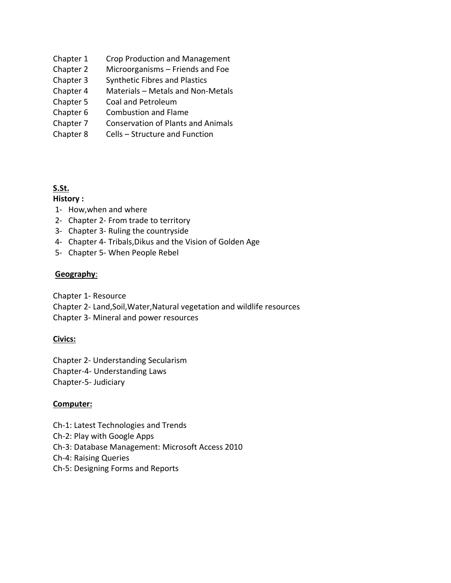- Chapter 1 Crop Production and Management
- Chapter 2 Microorganisms Friends and Foe
- Chapter 3 Synthetic Fibres and Plastics
- Chapter 4 Materials Metals and Non-Metals
- Chapter 5 Coal and Petroleum
- Chapter 6 Combustion and Flame
- Chapter 7 Conservation of Plants and Animals
- Chapter 8 Cells Structure and Function

#### **S.St.**

#### **History :**

- 1- How,when and where
- 2- Chapter 2- From trade to territory
- 3- Chapter 3- Ruling the countryside
- 4- Chapter 4- Tribals,Dikus and the Vision of Golden Age
- 5- Chapter 5- When People Rebel

#### **Geography**:

Chapter 1- Resource

- Chapter 2- Land,Soil,Water,Natural vegetation and wildlife resources
- Chapter 3- Mineral and power resources

### **Civics:**

Chapter 2- Understanding Secularism Chapter-4- Understanding Laws

Chapter-5- Judiciary

### **Computer:**

- Ch-1: Latest Technologies and Trends
- Ch-2: Play with Google Apps
- Ch-3: Database Management: Microsoft Access 2010
- Ch-4: Raising Queries
- Ch-5: Designing Forms and Reports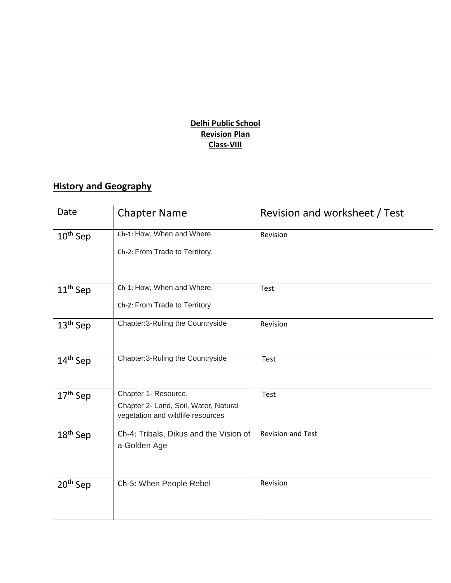### **Delhi Public School Revision Plan Class-VIII**

# **History and Geography**

| Date                 | <b>Chapter Name</b>                                           | Revision and worksheet / Test |
|----------------------|---------------------------------------------------------------|-------------------------------|
| $10th$ Sep           | Ch-1: How, When and Where.                                    | Revision                      |
|                      | Ch-2: From Trade to Territory.                                |                               |
| $11th$ Sep           | Ch-1: How, When and Where.                                    | Test                          |
|                      | Ch-2: From Trade to Territory                                 |                               |
| 13 <sup>th</sup> Sep | Chapter: 3-Ruling the Countryside                             | Revision                      |
| 14 <sup>th</sup> Sep | Chapter: 3-Ruling the Countryside                             | Test                          |
| $17th$ Sep           | Chapter 1- Resource.<br>Chapter 2- Land, Soil, Water, Natural | Test                          |
|                      | vegetation and wildlife resources                             |                               |
| $18th$ Sep           | Ch-4: Tribals, Dikus and the Vision of<br>a Golden Age        | <b>Revision and Test</b>      |
| 20 <sup>th</sup> Sep | Ch-5: When People Rebel                                       | Revision                      |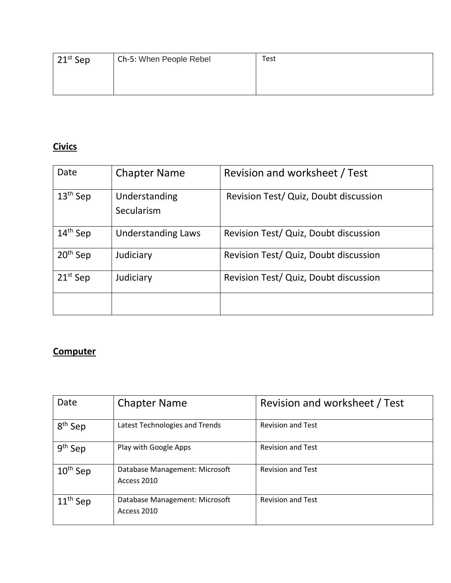| $21^{st}$ Sep | Ch-5: When People Rebel | <b>Test</b> |
|---------------|-------------------------|-------------|
|               |                         |             |
|               |                         |             |

# **Civics**

| Date          | <b>Chapter Name</b>         | Revision and worksheet / Test         |
|---------------|-----------------------------|---------------------------------------|
| $13th$ Sep    | Understanding<br>Secularism | Revision Test/ Quiz, Doubt discussion |
| $14th$ Sep    | <b>Understanding Laws</b>   | Revision Test/ Quiz, Doubt discussion |
| $20th$ Sep    | Judiciary                   | Revision Test/ Quiz, Doubt discussion |
| $21^{st}$ Sep | Judiciary                   | Revision Test/ Quiz, Doubt discussion |
|               |                             |                                       |

## **Computer**

| Date                | <b>Chapter Name</b>                           | Revision and worksheet / Test |
|---------------------|-----------------------------------------------|-------------------------------|
| 8 <sup>th</sup> Sep | Latest Technologies and Trends                | <b>Revision and Test</b>      |
| $9th$ Sep           | Play with Google Apps                         | <b>Revision and Test</b>      |
| $10^{th}$ Sep       | Database Management: Microsoft<br>Access 2010 | <b>Revision and Test</b>      |
| $11th$ Sep          | Database Management: Microsoft<br>Access 2010 | <b>Revision and Test</b>      |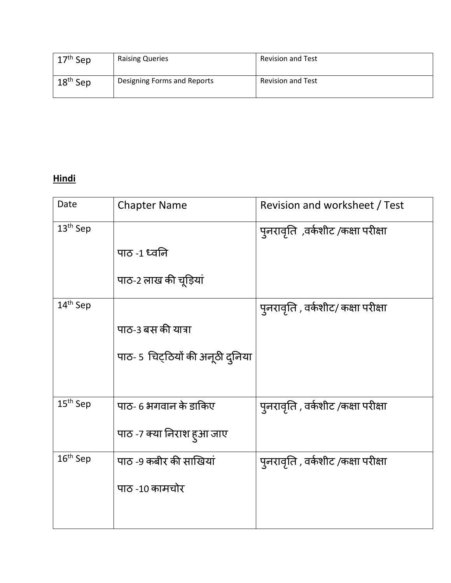| $17th$ Sep | <b>Raising Queries</b>      | <b>Revision and Test</b> |
|------------|-----------------------------|--------------------------|
| $18th$ Sep | Designing Forms and Reports | <b>Revision and Test</b> |

# **Hindi**

| Date                 | <b>Chapter Name</b>              | Revision and worksheet / Test      |
|----------------------|----------------------------------|------------------------------------|
| $13th$ Sep           |                                  | पुनरावृति ,वर्कशीट /कक्षा परीक्षा  |
|                      | पाठ -1 ध्वनि                     |                                    |
|                      | पाठ-2 लाख की चूड़ियां            |                                    |
| 14 <sup>th</sup> Sep |                                  | पुनरावृति , वर्कशीट/ कक्षा परीक्षा |
|                      | पाठ-3 बस की यात्रा               |                                    |
|                      | पाठ- 5 चिट्ठियों की अनूठी दुनिया |                                    |
|                      |                                  |                                    |
| 15 <sup>th</sup> Sep | पाठ- 6 भगवान के डाकिए            | पुनरावृति , वर्कशीट /कक्षा परीक्षा |
|                      | पाठ -7 क्या निराश हुआ जाए        |                                    |
| $16th$ Sep           | पाठ -9 कबीर की साखियां           | पुनरावृति , वर्कशीट /कक्षा परीक्षा |
|                      | पाठ -10 कामचोर                   |                                    |
|                      |                                  |                                    |
|                      |                                  |                                    |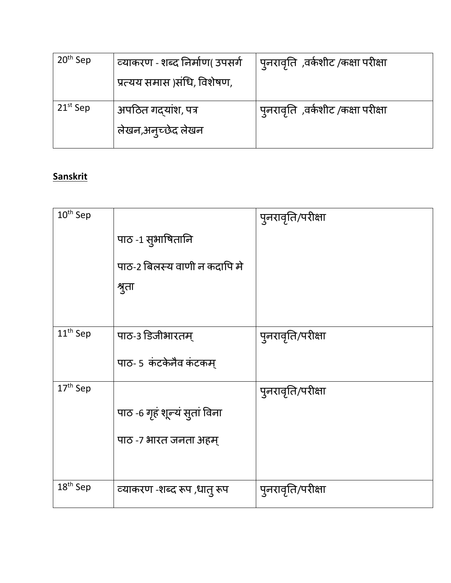| $20th$ Sep    | व्याकरण - शब्द निर्माण( उपसर्ग<br>प्रत्यय समास )संधि, विशेषण, | पुनरावृति ,वर्कशीट /कक्षा परीक्षा |
|---------------|---------------------------------------------------------------|-----------------------------------|
| $21^{st}$ Sep | अपठित गद्यांश, पत्र<br>लेखन,अनुच्छेद लेखन                     | पुनरावृति ,वर्कशीट /कक्षा परीक्षा |

# **Sanskrit**

| 10 <sup>th</sup> Sep | पाठ -1 सुभाषितानि<br>पाठ-2 बिलस्य वाणी न कदापि मे<br>श्रुता | पुनरावृति/परीक्षा |
|----------------------|-------------------------------------------------------------|-------------------|
| 11 <sup>th</sup> Sep | पाठ-३ डिजीभारतम्<br>पाठ- 5 कंटकेनैव कंटकम्                  | पुनरावृति/परीक्षा |
| 17 <sup>th</sup> Sep | पाठ -6 गृहं शून्यं सुतां विना<br>पाठ -७ भारत जनता अहम्      | पुनरावृति/परीक्षा |
| 18 <sup>th</sup> Sep | व्याकरण -शब्द रूप ,धातु रूप                                 | पुनरावृति/परीक्षा |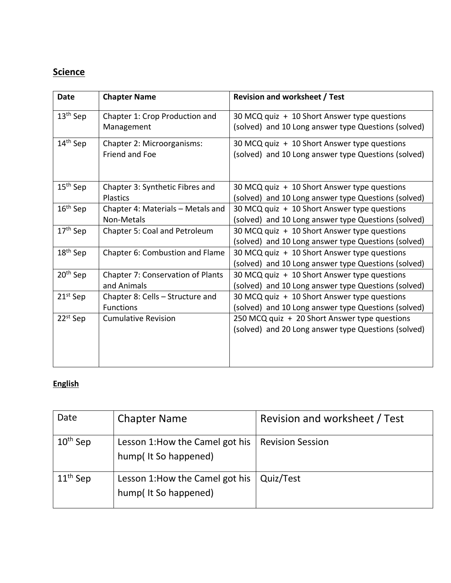# **Science**

| <b>Date</b>          | <b>Chapter Name</b>                                  | <b>Revision and worksheet / Test</b>                                                                 |
|----------------------|------------------------------------------------------|------------------------------------------------------------------------------------------------------|
| 13 <sup>th</sup> Sep | Chapter 1: Crop Production and<br>Management         | 30 MCQ quiz + 10 Short Answer type questions<br>(solved) and 10 Long answer type Questions (solved)  |
| 14 <sup>th</sup> Sep | Chapter 2: Microorganisms:<br>Friend and Foe         | 30 MCQ quiz + 10 Short Answer type questions<br>(solved) and 10 Long answer type Questions (solved)  |
| 15 <sup>th</sup> Sep | Chapter 3: Synthetic Fibres and<br><b>Plastics</b>   | 30 MCQ quiz + 10 Short Answer type questions<br>(solved) and 10 Long answer type Questions (solved)  |
| $16th$ Sep           | Chapter 4: Materials - Metals and<br>Non-Metals      | 30 MCQ quiz + 10 Short Answer type questions<br>(solved) and 10 Long answer type Questions (solved)  |
| 17 <sup>th</sup> Sep | Chapter 5: Coal and Petroleum                        | 30 MCQ quiz + 10 Short Answer type questions<br>(solved) and 10 Long answer type Questions (solved)  |
| 18 <sup>th</sup> Sep | Chapter 6: Combustion and Flame                      | 30 MCQ quiz + 10 Short Answer type questions<br>(solved) and 10 Long answer type Questions (solved)  |
| 20 <sup>th</sup> Sep | Chapter 7: Conservation of Plants<br>and Animals     | 30 MCQ quiz + 10 Short Answer type questions<br>(solved) and 10 Long answer type Questions (solved)  |
| 21 <sup>st</sup> Sep | Chapter 8: Cells - Structure and<br><b>Functions</b> | 30 MCQ quiz + 10 Short Answer type questions<br>(solved) and 10 Long answer type Questions (solved)  |
| $22^{st}$ Sep        | <b>Cumulative Revision</b>                           | 250 MCQ quiz + 20 Short Answer type questions<br>(solved) and 20 Long answer type Questions (solved) |

### **English**

| Date                 | <b>Chapter Name</b>                                     | Revision and worksheet / Test |
|----------------------|---------------------------------------------------------|-------------------------------|
| $10^{\text{th}}$ Sep | Lesson 1: How the Camel got his<br>hump(It So happened) | <b>Revision Session</b>       |
| $11th$ Sep           | Lesson 1: How the Camel got his<br>hump(It So happened) | Quiz/Test                     |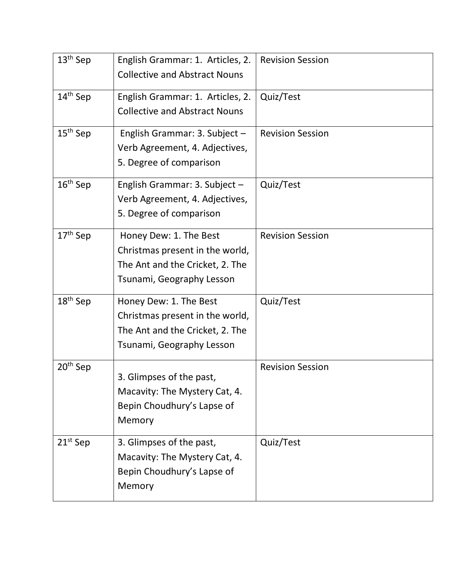| 13 <sup>th</sup> Sep | English Grammar: 1. Articles, 2.<br><b>Collective and Abstract Nouns</b> | <b>Revision Session</b> |
|----------------------|--------------------------------------------------------------------------|-------------------------|
|                      |                                                                          |                         |
| 14 <sup>th</sup> Sep | English Grammar: 1. Articles, 2.                                         | Quiz/Test               |
|                      | <b>Collective and Abstract Nouns</b>                                     |                         |
| $15th$ Sep           | English Grammar: 3. Subject -                                            | <b>Revision Session</b> |
|                      | Verb Agreement, 4. Adjectives,                                           |                         |
|                      | 5. Degree of comparison                                                  |                         |
| $16th$ Sep           | English Grammar: 3. Subject -                                            | Quiz/Test               |
|                      | Verb Agreement, 4. Adjectives,                                           |                         |
|                      | 5. Degree of comparison                                                  |                         |
| 17 <sup>th</sup> Sep | Honey Dew: 1. The Best                                                   | <b>Revision Session</b> |
|                      | Christmas present in the world,                                          |                         |
|                      | The Ant and the Cricket, 2. The                                          |                         |
|                      | Tsunami, Geography Lesson                                                |                         |
| $18th$ Sep           | Honey Dew: 1. The Best                                                   | Quiz/Test               |
|                      | Christmas present in the world,                                          |                         |
|                      | The Ant and the Cricket, 2. The                                          |                         |
|                      | Tsunami, Geography Lesson                                                |                         |
| 20 <sup>th</sup> Sep |                                                                          | <b>Revision Session</b> |
|                      | 3. Glimpses of the past,                                                 |                         |
|                      | Macavity: The Mystery Cat, 4.                                            |                         |
|                      | Bepin Choudhury's Lapse of                                               |                         |
|                      | Memory                                                                   |                         |
| $21st$ Sep           | 3. Glimpses of the past,                                                 | Quiz/Test               |
|                      | Macavity: The Mystery Cat, 4.                                            |                         |
|                      | Bepin Choudhury's Lapse of                                               |                         |
|                      | Memory                                                                   |                         |
|                      |                                                                          |                         |